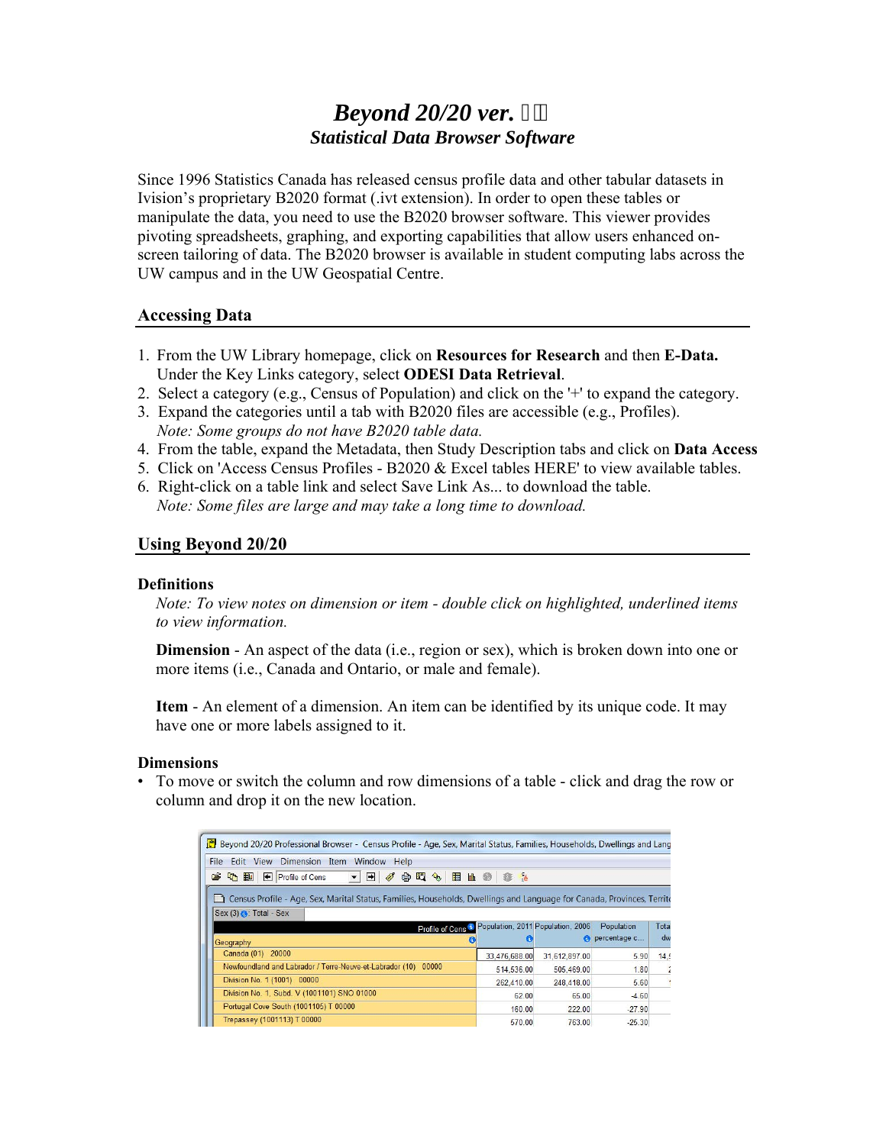# *Beyond 20/20 ver. Statistical Data Browser Software*

Since 1996 Statistics Canada has released census profile data and other tabular datasets in Ivision's proprietary B2020 format (.ivt extension). In order to open these tables or manipulate the data, you need to use the B2020 browser software. This viewer provides pivoting spreadsheets, graphing, and exporting capabilities that allow users enhanced onscreen tailoring of data. The B2020 browser is available in student computing labs across the UW campus and in the UW Geospatial Centre.

#### **Accessing Data**

- 1. From the UW Library homepage, click on **Resources for Research** and then **E-Data.** Under the Key Links category, select **ODESI Data Retrieval**.
- 2. Select a category (e.g., Census of Population) and click on the '+' to expand the category.
- 3. Expand the categories until a tab with B2020 files are accessible (e.g., Profiles). *Note: Some groups do not have B2020 table data.*
- 4. From the table, expand the Metadata, then Study Description tabs and click on **Data Access**
- 5. Click on 'Access Census Profiles B2020 & Excel tables HERE' to view available tables.
- 6. Right-click on a table link and select Save Link As... to download the table.  *Note: Some files are large and may take a long time to download.*

# **Using Beyond 20/20**

#### **Definitions**

*Note: To view notes on dimension or item - double click on highlighted, underlined items to view information.*

**Dimension** - An aspect of the data (i.e., region or sex), which is broken down into one or more items (i.e., Canada and Ontario, or male and female).

**Item** - An element of a dimension. An item can be identified by its unique code. It may have one or more labels assigned to it.

#### **Dimensions**

• To move or switch the column and row dimensions of a table - click and drag the row or column and drop it on the new location.

| Beyond 20/20 Professional Browser - Census Profile - Age, Sex, Marital Status, Families, Households, Dwellings and Lang                                    |               |               |              |       |
|------------------------------------------------------------------------------------------------------------------------------------------------------------|---------------|---------------|--------------|-------|
| Edit View<br>Dimension Item Window Help<br><b>File</b>                                                                                                     |               |               |              |       |
| 哈里<br>Profile of Cens<br>合四多<br>間止●<br>$\rightarrow$<br>c<br>Ø<br>$\mathbf{v}$                                                                             | <b>1 3 16</b> |               |              |       |
| Census Profile - Age, Sex, Marital Status, Families, Households, Dwellings and Language for Canada, Provinces, Territo<br>$Sex(3)$ $\bigcap$ : Total - Sex |               |               |              |       |
| Profile of Cens <sup>4</sup> Population, 2011 Population, 2006                                                                                             |               |               | Population   | Total |
| Geography                                                                                                                                                  |               | a             | percentage c | dw    |
| Canada (01) 20000                                                                                                                                          | 33,476,688.00 | 31,612,897.00 | 5.90         | 14.6  |
| Newfoundland and Labrador / Terre-Neuve-et-Labrador (10) 00000                                                                                             | 514,536.00    | 505,469.00    | 1.80         | ź     |
| Division No. 1 (1001) 00000                                                                                                                                | 262,410.00    | 248,418.00    | 5.60         |       |
| Division No. 1, Subd. V (1001101) SNO 01000                                                                                                                | 62.00         | 65.00         | $-4.60$      |       |
| Portugal Cove South (1001105) T 00000                                                                                                                      | 160.00        | 222.00        | $-27.90$     |       |
| Trepassey (1001113) T 00000                                                                                                                                | 570.00        | 763.00        | $-25.30$     |       |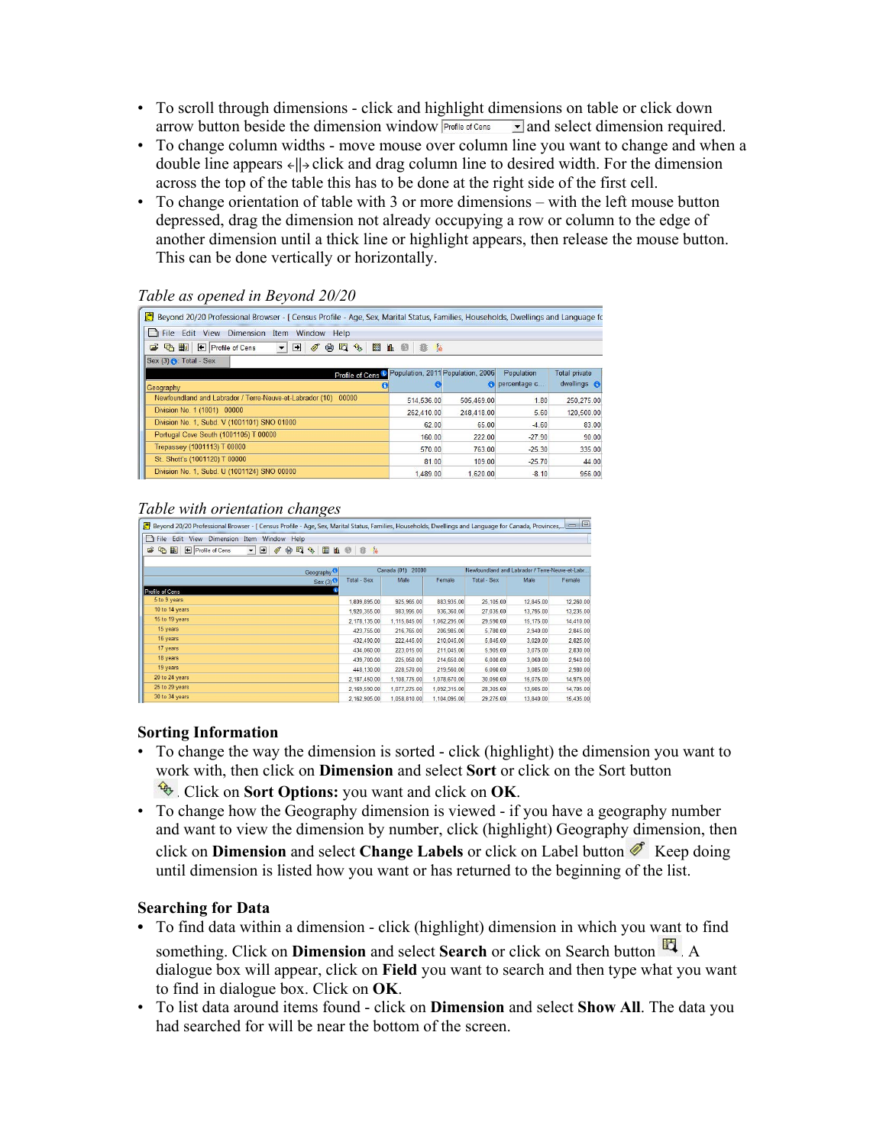- To scroll through dimensions click and highlight dimensions on table or click down arrow button beside the dimension window  $\frac{P_{\text{foffle of Cens}}}{P_{\text{foffle}}}\$  and select dimension required.
- To change column widths move mouse over column line you want to change and when a double line appears  $\leftarrow$   $||\rightarrow$  click and drag column line to desired width. For the dimension across the top of the table this has to be done at the right side of the first cell.
- To change orientation of table with 3 or more dimensions with the left mouse button depressed, drag the dimension not already occupying a row or column to the edge of another dimension until a thick line or highlight appears, then release the mouse button. This can be done vertically or horizontally.

#### *Table as opened in Beyond 20/20*

| Beyond 20/20 Professional Browser - [ Census Profile - Age, Sex, Marital Status, Families, Households, Dwellings and Language for |                       |            |                            |                                     |
|-----------------------------------------------------------------------------------------------------------------------------------|-----------------------|------------|----------------------------|-------------------------------------|
| <b>The Edit View Dimension</b><br>Item Window Help                                                                                |                       |            |                            |                                     |
| 謂<br>因<br>← Profile of Cens<br>➡<br>c<br>G<br>报回<br>$\oplus$<br><b>Rey</b><br>Ø<br>$\mathbf{v}$                                   | <b>Lé</b><br>血 @<br>雅 |            |                            |                                     |
| Sex $(3) \bigcap$ : Total - Sex                                                                                                   |                       |            |                            |                                     |
| Profile of Cens <sup>®</sup> Population, 2011 Population, 2006<br>Geography                                                       | и.                    | $\epsilon$ | Population<br>percentage c | <b>Total private</b><br>dwellings A |
| Newfoundland and Labrador / Terre-Neuve-et-Labrador (10) 00000                                                                    | 514,536.00            | 505.469.00 | 1.80                       | 250,275.00                          |
| Division No. 1 (1001) 00000                                                                                                       | 262,410.00            | 248,418.00 | 5.60                       | 120,500.00                          |
| Division No. 1, Subd. V (1001101) SNO 01000                                                                                       | 62.00                 | 65.00      | $-4.60$                    | 83.00                               |
| Portugal Cove South (1001105) T 00000                                                                                             | 160.00                | 222.00     | $-27.90$                   | 90.00                               |
| Trepassey (1001113) T 00000                                                                                                       | 570.00                | 763.00     | $-25.30$                   | 335.00                              |
| St. Shott's (1001120) T 00000                                                                                                     | 81.00                 | 109.00     | $-25.70$                   | 44.00                               |
| Division No. 1, Subd. U (1001124) SNO 00000                                                                                       | 1.489.00              | 1.620.00   | $-8.10$                    | 956.00                              |
|                                                                                                                                   |                       |            |                            |                                     |

#### *Table with orientation changes*

| Beyond 20/20 Professional Browser - [ Census Profile - Age, Sex, Marital Status, Families, Households, Dwellings and Language for Canada, Provinces, |                      |              |              |                                                 |           | $=$ $\Box$ |
|------------------------------------------------------------------------------------------------------------------------------------------------------|----------------------|--------------|--------------|-------------------------------------------------|-----------|------------|
| $\Box$ File<br>Dimension Item<br>Window Help<br>Edit View                                                                                            |                      |              |              |                                                 |           |            |
| 18 代 图<br>圓<br>Profile of Cens<br>$\blacksquare$<br>会理<br>Ø<br>$\mathcal{L}_{\mathcal{D}}$<br>$\vert \cdot \vert$                                    | <b>Ⅱ © 卷 è</b>       |              |              |                                                 |           |            |
| Geography <sup>3</sup>                                                                                                                               | Canada (01)<br>20000 |              |              | Newfoundland and Labrador / Terre-Neuve-et-Labr |           |            |
| $Sex(3)$ <sup>O</sup>                                                                                                                                | <b>Total - Sex</b>   | Male         | Female       | Total - Sex                                     | Male      | Female     |
| Profile of Cens                                                                                                                                      |                      |              |              |                                                 |           |            |
| 5 to 9 years                                                                                                                                         | 1,809,895.00         | 925,965.00   | 883,935.00   | 25,105.00                                       | 12,845.00 | 12,260.00  |
| 10 to 14 years                                                                                                                                       | 1,920,355.00         | 983,995.00   | 936,360.00   | 27,035.00                                       | 13,795.00 | 13,235.00  |
| 15 to 19 years                                                                                                                                       | 2,178,135.00         | 1.115.845.00 | 1.062.295.00 | 29,590.00                                       | 15,175.00 | 14,410.00  |
| 15 years                                                                                                                                             | 423.755.00           | 216,765.00   | 206.985.00   | 5,780.00                                        | 2.940.00  | 2,845.00   |
| 16 years                                                                                                                                             | 432,490.00           | 222,445.00   | 210.045.00   | 5,845.00                                        | 3.020.00  | 2,825.00   |
| 17 years                                                                                                                                             | 434,060.00           | 223,015.00   | 211,045.00   | 5,905.00                                        | 3,075.00  | 2,830.00   |
| 18 years                                                                                                                                             | 439,700.00           | 225,050.00   | 214,650.00   | 6,000.00                                        | 3,060.00  | 2,940.00   |
| 19 years                                                                                                                                             | 448,130.00           | 228,570.00   | 219.560.00   | 6.060.00                                        | 3.085.00  | 2,980.00   |
| 20 to 24 years                                                                                                                                       | 2,187,450.00         | 1.108.775.00 | 1.078.670.00 | 30,050.00                                       | 15,075.00 | 14,975.00  |
| 25 to 29 years                                                                                                                                       | 2.169.590.00         | 1.077.275.00 | 1.092.315.00 | 28,305.00                                       | 13,605.00 | 14,705.00  |
| 30 to 34 years                                                                                                                                       | 2.162.905.00         | 1,058,810.00 | 1,104,095.00 | 29,275.00                                       | 13,840.00 | 15,435.00  |

#### **Sorting Information**

- To change the way the dimension is sorted click (highlight) the dimension you want to work with, then click on **Dimension** and select **Sort** or click on the Sort button
	- . Click on **Sort Options:** you want and click on **OK**.
- To change how the Geography dimension is viewed if you have a geography number and want to view the dimension by number, click (highlight) Geography dimension, then click on **Dimension** and select **Change Labels** or click on Label button **6**. Keep doing until dimension is listed how you want or has returned to the beginning of the list.

# **Searching for Data**

- To find data within a dimension click (highlight) dimension in which you want to find something. Click on **Dimension** and select **Search** or click on Search button  $\mathbb{E}$ . A dialogue box will appear, click on **Field** you want to search and then type what you want to find in dialogue box. Click on **OK**.
- To list data around items found click on **Dimension** and select **Show All**. The data you had searched for will be near the bottom of the screen.